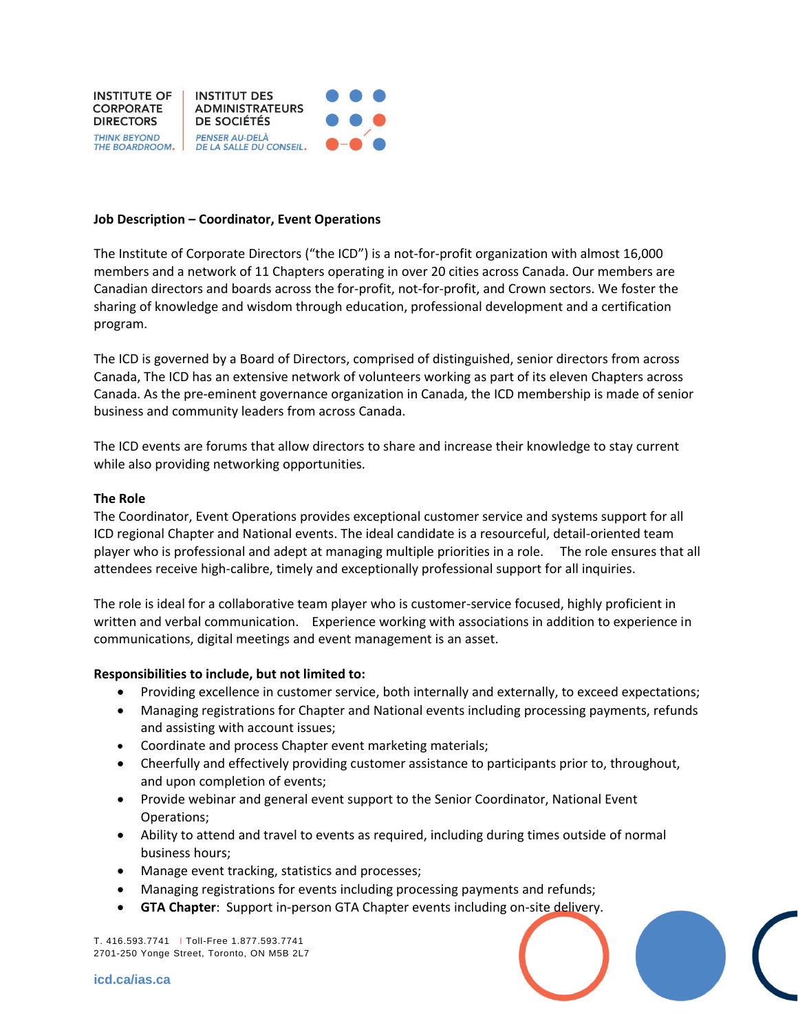

## **Job Description – Coordinator, Event Operations**

The Institute of Corporate Directors ("the ICD") is a not-for-profit organization with almost 16,000 members and a network of 11 Chapters operating in over 20 cities across Canada. Our members are Canadian directors and boards across the for-profit, not-for-profit, and Crown sectors. We foster the sharing of knowledge and wisdom through education, professional development and a certification program.

The ICD is governed by a Board of Directors, comprised of distinguished, senior directors from across Canada, The ICD has an extensive network of volunteers working as part of its eleven Chapters across Canada. As the pre-eminent governance organization in Canada, the ICD membership is made of senior business and community leaders from across Canada.

The ICD events are forums that allow directors to share and increase their knowledge to stay current while also providing networking opportunities.

## **The Role**

The Coordinator, Event Operations provides exceptional customer service and systems support for all ICD regional Chapter and National events. The ideal candidate is a resourceful, detail-oriented team player who is professional and adept at managing multiple priorities in a role. The role ensures that all attendees receive high-calibre, timely and exceptionally professional support for all inquiries.

The role is ideal for a collaborative team player who is customer-service focused, highly proficient in written and verbal communication. Experience working with associations in addition to experience in communications, digital meetings and event management is an asset.

## **Responsibilities to include, but not limited to:**

- Providing excellence in customer service, both internally and externally, to exceed expectations;
- Managing registrations for Chapter and National events including processing payments, refunds and assisting with account issues;
- Coordinate and process Chapter event marketing materials;
- Cheerfully and effectively providing customer assistance to participants prior to, throughout, and upon completion of events;
- Provide webinar and general event support to the Senior Coordinator, National Event Operations;
- Ability to attend and travel to events as required, including during times outside of normal business hours;
- Manage event tracking, statistics and processes;
- Managing registrations for events including processing payments and refunds;
- **GTA Chapter**: Support in-person GTA Chapter events including on-site delivery.

T. 416.593.7741 I Toll-Free 1.877.593.7741 2701-250 Yonge Street, Toronto, ON M5B 2L7

**icd.ca/ias.ca**